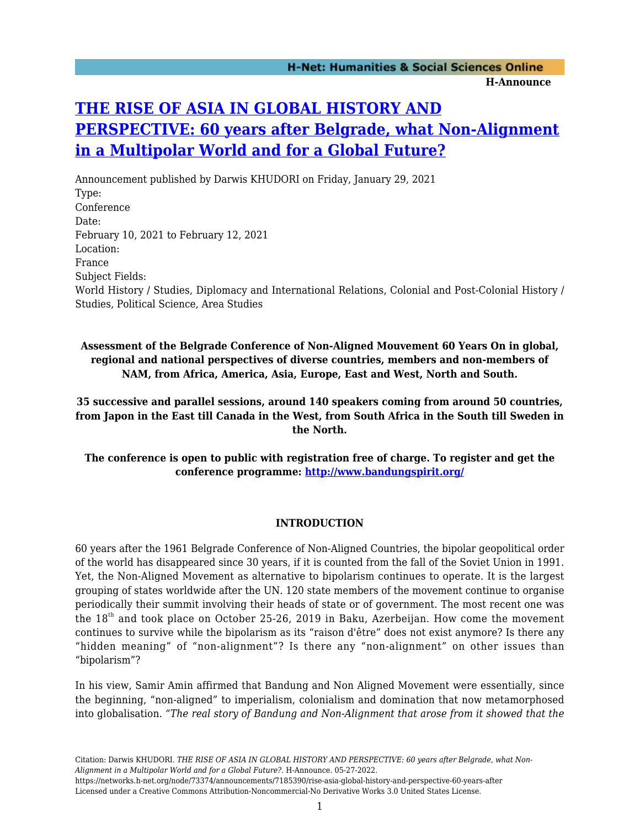## **[THE RISE OF ASIA IN GLOBAL HISTORY AND](https://networks.h-net.org/node/73374/announcements/7185390/rise-asia-global-history-and-perspective-60-years-after) [PERSPECTIVE: 60 years after Belgrade, what Non-Alignment](https://networks.h-net.org/node/73374/announcements/7185390/rise-asia-global-history-and-perspective-60-years-after) [in a Multipolar World and for a Global Future?](https://networks.h-net.org/node/73374/announcements/7185390/rise-asia-global-history-and-perspective-60-years-after)**

Announcement published by Darwis KHUDORI on Friday, January 29, 2021 Type: Conference Date: February 10, 2021 to February 12, 2021 Location: France Subject Fields: World History / Studies, Diplomacy and International Relations, Colonial and Post-Colonial History / Studies, Political Science, Area Studies

**Assessment of the Belgrade Conference of Non-Aligned Mouvement 60 Years On in global, regional and national perspectives of diverse countries, members and non-members of NAM, from Africa, America, Asia, Europe, East and West, North and South.**

**35 successive and parallel sessions, around 140 speakers coming from around 50 countries, from Japon in the East till Canada in the West, from South Africa in the South till Sweden in the North.**

**The conference is open to public with registration free of charge. To register and get the conference programme: <http://www.bandungspirit.org/>**

## **INTRODUCTION**

60 years after the 1961 Belgrade Conference of Non-Aligned Countries, the bipolar geopolitical order of the world has disappeared since 30 years, if it is counted from the fall of the Soviet Union in 1991. Yet, the Non-Aligned Movement as alternative to bipolarism continues to operate. It is the largest grouping of states worldwide after the UN. 120 state members of the movement continue to organise periodically their summit involving their heads of state or of government. The most recent one was the 18<sup>th</sup> and took place on October 25-26, 2019 in Baku, Azerbeijan. How come the movement continues to survive while the bipolarism as its "raison d'être" does not exist anymore? Is there any "hidden meaning" of "non-alignment"? Is there any "non-alignment" on other issues than "bipolarism"?

In his view, Samir Amin affirmed that Bandung and Non Aligned Movement were essentially, since the beginning, "non-aligned" to imperialism, colonialism and domination that now metamorphosed into globalisation. *"The real story of Bandung and Non-Alignment that arose from it showed that the*

Citation: Darwis KHUDORI. *THE RISE OF ASIA IN GLOBAL HISTORY AND PERSPECTIVE: 60 years after Belgrade, what Non-Alignment in a Multipolar World and for a Global Future?*. H-Announce. 05-27-2022. https://networks.h-net.org/node/73374/announcements/7185390/rise-asia-global-history-and-perspective-60-years-after

Licensed under a Creative Commons Attribution-Noncommercial-No Derivative Works 3.0 United States License.